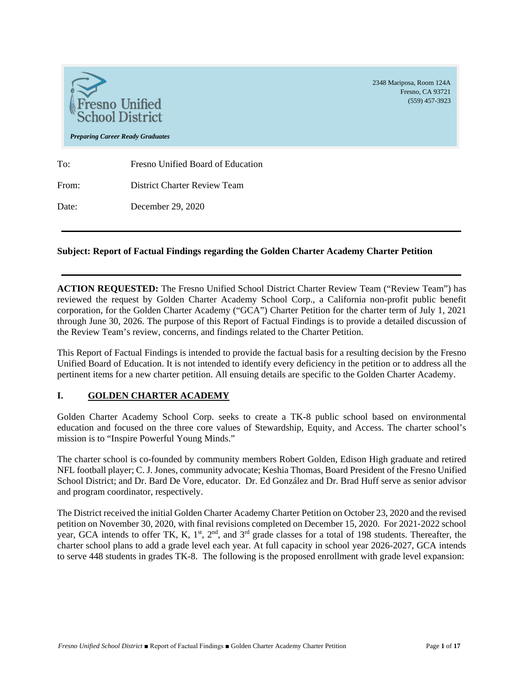

### **Subject: Report of Factual Findings regarding the Golden Charter Academy Charter Petition**

**ACTION REQUESTED:** The Fresno Unified School District Charter Review Team ("Review Team") has reviewed the request by Golden Charter Academy School Corp., a California non-profit public benefit corporation, for the Golden Charter Academy ("GCA") Charter Petition for the charter term of July 1, 2021 through June 30, 2026. The purpose of this Report of Factual Findings is to provide a detailed discussion of the Review Team's review, concerns, and findings related to the Charter Petition.

This Report of Factual Findings is intended to provide the factual basis for a resulting decision by the Fresno Unified Board of Education. It is not intended to identify every deficiency in the petition or to address all the pertinent items for a new charter petition. All ensuing details are specific to the Golden Charter Academy.

#### **I. GOLDEN CHARTER ACADEMY**

Golden Charter Academy School Corp. seeks to create a TK-8 public school based on environmental education and focused on the three core values of Stewardship, Equity, and Access. The charter school's mission is to "Inspire Powerful Young Minds."

The charter school is co-founded by community members Robert Golden, Edison High graduate and retired NFL football player; C. J. Jones, community advocate; Keshia Thomas, Board President of the Fresno Unified School District; and Dr. Bard De Vore, educator. Dr. Ed González and Dr. Brad Huff serve as senior advisor and program coordinator, respectively.

The District received the initial Golden Charter Academy Charter Petition on October 23, 2020 and the revised petition on November 30, 2020, with final revisions completed on December 15, 2020. For 2021‐2022 school year, GCA intends to offer TK, K,  $1<sup>st</sup>$ ,  $2<sup>nd</sup>$ , and  $3<sup>rd</sup>$  grade classes for a total of 198 students. Thereafter, the charter school plans to add a grade level each year. At full capacity in school year 2026-2027, GCA intends to serve 448 students in grades TK-8. The following is the proposed enrollment with grade level expansion:

Fresno, CA 93721 (559) 457-3923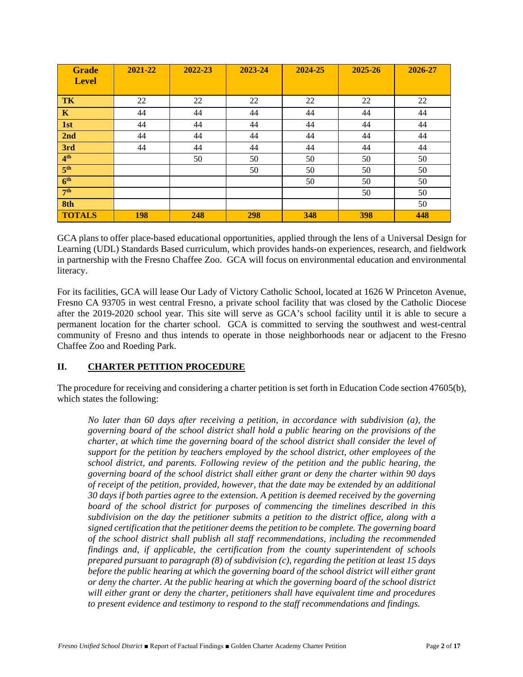| <b>Grade</b><br><b>Level</b> | 2021-22    | 2022-23 | 2023-24 | 2024-25 | 2025-26 | 2026-27 |
|------------------------------|------------|---------|---------|---------|---------|---------|
|                              |            |         |         |         |         |         |
| TK                           | 22         | 22      | 22      | 22      | 22      | 22      |
| $\mathbf K$                  | 44         | 44      | 44      | 44      | 44      | 44      |
| 1st                          | 44         | 44      | 44      | 44      | 44      | 44      |
| 2nd                          | 44         | 44      | 44      | 44      | 44      | 44      |
| 3rd                          | 44         | 44      | 44      | 44      | 44      | 44      |
| 4 <sup>th</sup>              |            | 50      | 50      | 50      | 50      | 50      |
| 5 <sup>th</sup>              |            |         | 50      | 50      | 50      | 50      |
| 6 <sup>th</sup>              |            |         |         | 50      | 50      | 50      |
| 7 <sup>th</sup>              |            |         |         |         | 50      | 50      |
| 8th                          |            |         |         |         |         | 50      |
| <b>TOTALS</b>                | <b>198</b> | 248     | 298     | 348     | 398     | 448     |

GCA plans to offer place-based educational opportunities, applied through the lens of a Universal Design for Learning (UDL) Standards Based curriculum, which provides hands-on experiences, research, and fieldwork in partnership with the Fresno Chaffee Zoo. GCA will focus on environmental education and environmental literacy.

For its facilities, GCA will lease Our Lady of Victory Catholic School, located at 1626 W Princeton Avenue, Fresno CA 93705 in west central Fresno, a private school facility that was closed by the Catholic Diocese after the 2019-2020 school year. This site will serve as GCA's school facility until it is able to secure a permanent location for the charter school. GCA is committed to serving the southwest and west-central community of Fresno and thus intends to operate in those neighborhoods near or adjacent to the Fresno Chaffee Zoo and Roeding Park.

# **II. CHARTER PETITION PROCEDURE**

The procedure for receiving and considering a charter petition is set forth in Education Code section 47605(b), which states the following:

*No later than 60 days after receiving a petition, in accordance with subdivision (a), the governing board of the school district shall hold a public hearing on the provisions of the charter, at which time the governing board of the school district shall consider the level of support for the petition by teachers employed by the school district, other employees of the school district, and parents. Following review of the petition and the public hearing, the governing board of the school district shall either grant or deny the charter within 90 days of receipt of the petition, provided, however, that the date may be extended by an additional 30 days if both parties agree to the extension. A petition is deemed received by the governing board of the school district for purposes of commencing the timelines described in this subdivision on the day the petitioner submits a petition to the district office, along with a signed certification that the petitioner deems the petition to be complete. The governing board of the school district shall publish all staff recommendations, including the recommended findings and, if applicable, the certification from the county superintendent of schools prepared pursuant to paragraph (8) of subdivision (c), regarding the petition at least 15 days before the public hearing at which the governing board of the school district will either grant or deny the charter. At the public hearing at which the governing board of the school district will either grant or deny the charter, petitioners shall have equivalent time and procedures to present evidence and testimony to respond to the staff recommendations and findings.*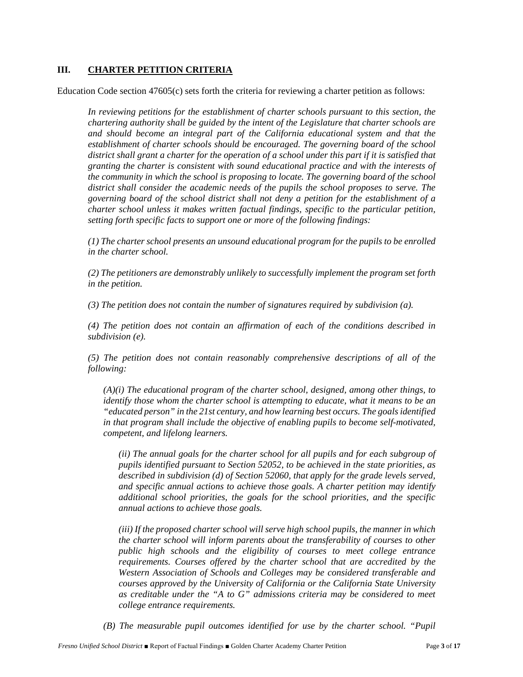## **III. CHARTER PETITION CRITERIA**

Education Code section 47605(c) sets forth the criteria for reviewing a charter petition as follows:

*In reviewing petitions for the establishment of charter schools pursuant to this section, the chartering authority shall be guided by the intent of the Legislature that charter schools are and should become an integral part of the California educational system and that the establishment of charter schools should be encouraged. The governing board of the school district shall grant a charter for the operation of a school under this part if it is satisfied that granting the charter is consistent with sound educational practice and with the interests of the community in which the school is proposing to locate. The governing board of the school district shall consider the academic needs of the pupils the school proposes to serve. The governing board of the school district shall not deny a petition for the establishment of a charter school unless it makes written factual findings, specific to the particular petition, setting forth specific facts to support one or more of the following findings:*

*(1) The charter school presents an unsound educational program for the pupils to be enrolled in the charter school.*

*(2) The petitioners are demonstrably unlikely to successfully implement the program set forth in the petition.*

*(3) The petition does not contain the number of signatures required by subdivision (a).*

*(4) The petition does not contain an affirmation of each of the conditions described in subdivision (e).*

*(5) The petition does not contain reasonably comprehensive descriptions of all of the following:*

*(A)(i) The educational program of the charter school, designed, among other things, to identify those whom the charter school is attempting to educate, what it means to be an "educated person" in the 21st century, and how learning best occurs. The goals identified in that program shall include the objective of enabling pupils to become self-motivated, competent, and lifelong learners.*

*(ii) The annual goals for the charter school for all pupils and for each subgroup of pupils identified pursuant to Section 52052, to be achieved in the state priorities, as described in subdivision (d) of Section 52060, that apply for the grade levels served, and specific annual actions to achieve those goals. A charter petition may identify additional school priorities, the goals for the school priorities, and the specific annual actions to achieve those goals.*

*(iii) If the proposed charter school will serve high school pupils, the manner in which the charter school will inform parents about the transferability of courses to other public high schools and the eligibility of courses to meet college entrance requirements. Courses offered by the charter school that are accredited by the Western Association of Schools and Colleges may be considered transferable and courses approved by the University of California or the California State University as creditable under the "A to G" admissions criteria may be considered to meet college entrance requirements.*

*(B) The measurable pupil outcomes identified for use by the charter school. "Pupil*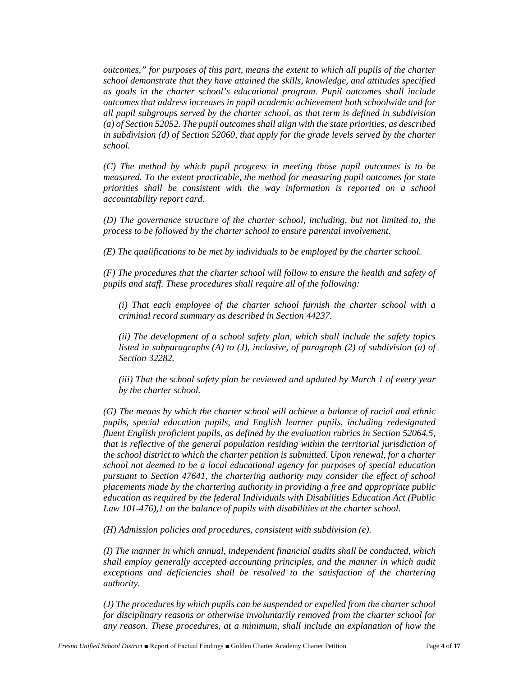*outcomes," for purposes of this part, means the extent to which all pupils of the charter school demonstrate that they have attained the skills, knowledge, and attitudes specified as goals in the charter school's educational program. Pupil outcomes shall include outcomes that address increases in pupil academic achievement both schoolwide and for all pupil subgroups served by the charter school, as that term is defined in subdivision (a) of Section 52052. The pupil outcomes shall align with the state priorities, as described in subdivision (d) of Section 52060, that apply for the grade levels served by the charter school.*

*(C) The method by which pupil progress in meeting those pupil outcomes is to be measured. To the extent practicable, the method for measuring pupil outcomes for state priorities shall be consistent with the way information is reported on a school accountability report card.*

*(D) The governance structure of the charter school, including, but not limited to, the process to be followed by the charter school to ensure parental involvement.*

*(E) The qualifications to be met by individuals to be employed by the charter school.*

*(F) The procedures that the charter school will follow to ensure the health and safety of pupils and staff. These procedures shall require all of the following:*

*(i) That each employee of the charter school furnish the charter school with a criminal record summary as described in Section 44237.*

*(ii) The development of a school safety plan, which shall include the safety topics listed in subparagraphs (A) to (J), inclusive, of paragraph (2) of subdivision (a) of Section 32282.*

*(iii) That the school safety plan be reviewed and updated by March 1 of every year by the charter school.*

*(G) The means by which the charter school will achieve a balance of racial and ethnic pupils, special education pupils, and English learner pupils, including redesignated fluent English proficient pupils, as defined by the evaluation rubrics in Section 52064.5, that is reflective of the general population residing within the territorial jurisdiction of the school district to which the charter petition is submitted. Upon renewal, for a charter school not deemed to be a local educational agency for purposes of special education pursuant to Section 47641, the chartering authority may consider the effect of school placements made by the chartering authority in providing a free and appropriate public education as required by the federal Individuals with Disabilities Education Act (Public Law 101-476),1 on the balance of pupils with disabilities at the charter school.*

*(H) Admission policies and procedures, consistent with subdivision (e).*

*(I) The manner in which annual, independent financial audits shall be conducted, which shall employ generally accepted accounting principles, and the manner in which audit exceptions and deficiencies shall be resolved to the satisfaction of the chartering authority.*

*(J) The procedures by which pupils can be suspended or expelled from the charter school for disciplinary reasons or otherwise involuntarily removed from the charter school for any reason. These procedures, at a minimum, shall include an explanation of how the*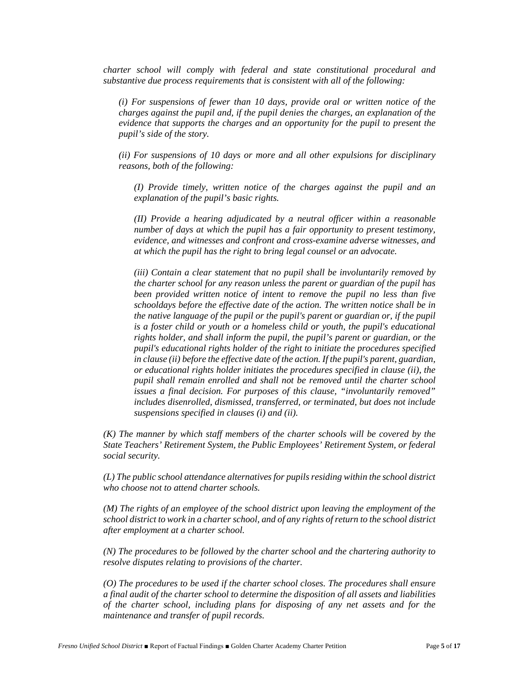*charter school will comply with federal and state constitutional procedural and substantive due process requirements that is consistent with all of the following:*

*(i) For suspensions of fewer than 10 days, provide oral or written notice of the charges against the pupil and, if the pupil denies the charges, an explanation of the evidence that supports the charges and an opportunity for the pupil to present the pupil's side of the story.*

*(ii) For suspensions of 10 days or more and all other expulsions for disciplinary reasons, both of the following:*

*(I) Provide timely, written notice of the charges against the pupil and an explanation of the pupil's basic rights.*

*(II) Provide a hearing adjudicated by a neutral officer within a reasonable number of days at which the pupil has a fair opportunity to present testimony, evidence, and witnesses and confront and cross-examine adverse witnesses, and at which the pupil has the right to bring legal counsel or an advocate.*

*(iii) Contain a clear statement that no pupil shall be involuntarily removed by the charter school for any reason unless the parent or guardian of the pupil has been provided written notice of intent to remove the pupil no less than five schooldays before the effective date of the action. The written notice shall be in the native language of the pupil or the pupil's parent or guardian or, if the pupil is a foster child or youth or a homeless child or youth, the pupil's educational rights holder, and shall inform the pupil, the pupil's parent or guardian, or the pupil's educational rights holder of the right to initiate the procedures specified in clause (ii) before the effective date of the action. If the pupil's parent, guardian, or educational rights holder initiates the procedures specified in clause (ii), the pupil shall remain enrolled and shall not be removed until the charter school issues a final decision. For purposes of this clause, "involuntarily removed" includes disenrolled, dismissed, transferred, or terminated, but does not include suspensions specified in clauses (i) and (ii).*

*(K) The manner by which staff members of the charter schools will be covered by the State Teachers' Retirement System, the Public Employees' Retirement System, or federal social security.*

*(L) The public school attendance alternatives for pupils residing within the school district who choose not to attend charter schools.*

*(M) The rights of an employee of the school district upon leaving the employment of the school district to work in a charter school, and of any rights of return to the school district after employment at a charter school.*

*(N) The procedures to be followed by the charter school and the chartering authority to resolve disputes relating to provisions of the charter.*

*(O) The procedures to be used if the charter school closes. The procedures shall ensure a final audit of the charter school to determine the disposition of all assets and liabilities of the charter school, including plans for disposing of any net assets and for the maintenance and transfer of pupil records.*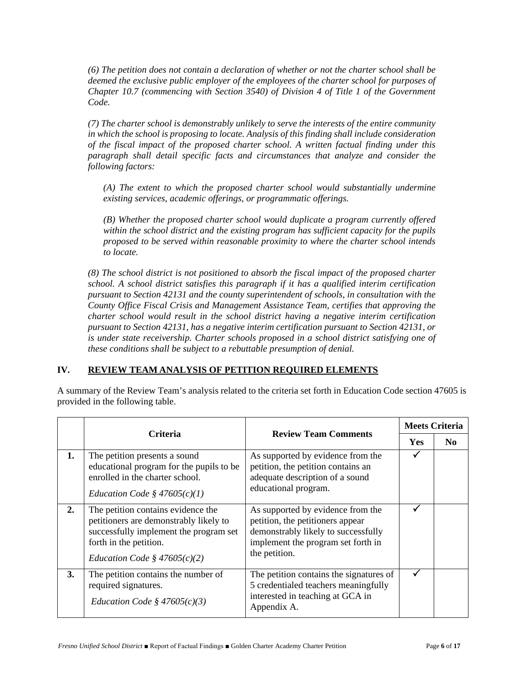*(6) The petition does not contain a declaration of whether or not the charter school shall be deemed the exclusive public employer of the employees of the charter school for purposes of Chapter 10.7 (commencing with Section 3540) of Division 4 of Title 1 of the Government Code.*

*(7) The charter school is demonstrably unlikely to serve the interests of the entire community in which the school is proposing to locate. Analysis of this finding shall include consideration of the fiscal impact of the proposed charter school. A written factual finding under this paragraph shall detail specific facts and circumstances that analyze and consider the following factors:*

*(A) The extent to which the proposed charter school would substantially undermine existing services, academic offerings, or programmatic offerings.*

*(B) Whether the proposed charter school would duplicate a program currently offered within the school district and the existing program has sufficient capacity for the pupils proposed to be served within reasonable proximity to where the charter school intends to locate.*

*(8) The school district is not positioned to absorb the fiscal impact of the proposed charter school. A school district satisfies this paragraph if it has a qualified interim certification pursuant to Section 42131 and the county superintendent of schools, in consultation with the County Office Fiscal Crisis and Management Assistance Team, certifies that approving the charter school would result in the school district having a negative interim certification pursuant to Section 42131, has a negative interim certification pursuant to Section 42131, or is under state receivership. Charter schools proposed in a school district satisfying one of these conditions shall be subject to a rebuttable presumption of denial.*

### **IV. REVIEW TEAM ANALYSIS OF PETITION REQUIRED ELEMENTS**

A summary of the Review Team's analysis related to the criteria set forth in Education Code section 47605 is provided in the following table.

| <b>Criteria</b> |                                                                                                                                                                                    | <b>Review Team Comments</b>                                                                                                                                         | <b>Meets Criteria</b> |                |
|-----------------|------------------------------------------------------------------------------------------------------------------------------------------------------------------------------------|---------------------------------------------------------------------------------------------------------------------------------------------------------------------|-----------------------|----------------|
|                 |                                                                                                                                                                                    |                                                                                                                                                                     | <b>Yes</b>            | N <sub>0</sub> |
| 1.              | The petition presents a sound<br>educational program for the pupils to be<br>enrolled in the charter school.<br>Education Code § $47605(c)(1)$                                     | As supported by evidence from the<br>petition, the petition contains an<br>adequate description of a sound<br>educational program.                                  |                       |                |
| 2.              | The petition contains evidence the<br>petitioners are demonstrably likely to<br>successfully implement the program set<br>forth in the petition.<br>Education Code § $47605(c)(2)$ | As supported by evidence from the<br>petition, the petitioners appear<br>demonstrably likely to successfully<br>implement the program set forth in<br>the petition. |                       |                |
| 3.              | The petition contains the number of<br>required signatures.<br>Education Code § $47605(c)(3)$                                                                                      | The petition contains the signatures of<br>5 credentialed teachers meaningfully<br>interested in teaching at GCA in<br>Appendix A.                                  | ✓                     |                |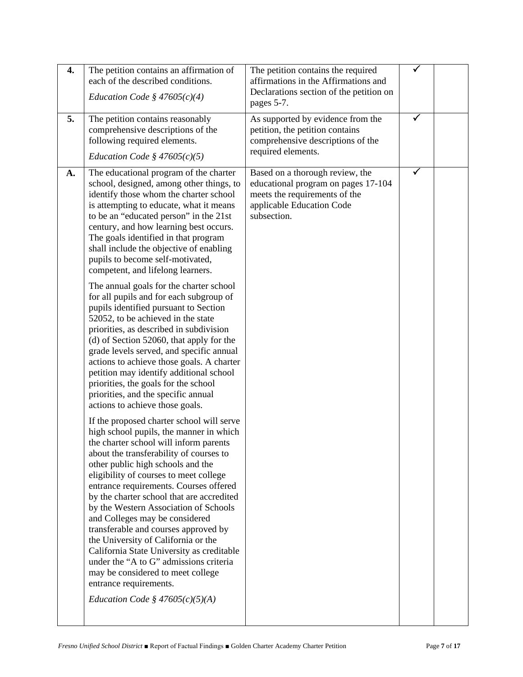| 4. | The petition contains an affirmation of<br>each of the described conditions.<br>Education Code § $47605(c)(4)$                                                                                                                                                                                                                                                                                                                                                                                                                                                                                                                                                                                                                                                                                                                                                                                                                                                                                                                                                                                                                                                                                                                                                                                                                                                                                                                                                                                                                                                                                                                                           | The petition contains the required<br>affirmations in the Affirmations and<br>Declarations section of the petition on<br>pages 5-7.                 | $\checkmark$ |  |
|----|----------------------------------------------------------------------------------------------------------------------------------------------------------------------------------------------------------------------------------------------------------------------------------------------------------------------------------------------------------------------------------------------------------------------------------------------------------------------------------------------------------------------------------------------------------------------------------------------------------------------------------------------------------------------------------------------------------------------------------------------------------------------------------------------------------------------------------------------------------------------------------------------------------------------------------------------------------------------------------------------------------------------------------------------------------------------------------------------------------------------------------------------------------------------------------------------------------------------------------------------------------------------------------------------------------------------------------------------------------------------------------------------------------------------------------------------------------------------------------------------------------------------------------------------------------------------------------------------------------------------------------------------------------|-----------------------------------------------------------------------------------------------------------------------------------------------------|--------------|--|
| 5. | The petition contains reasonably<br>comprehensive descriptions of the<br>following required elements.<br>Education Code § $47605(c)(5)$                                                                                                                                                                                                                                                                                                                                                                                                                                                                                                                                                                                                                                                                                                                                                                                                                                                                                                                                                                                                                                                                                                                                                                                                                                                                                                                                                                                                                                                                                                                  | As supported by evidence from the<br>petition, the petition contains<br>comprehensive descriptions of the<br>required elements.                     | ✓            |  |
| A. | The educational program of the charter<br>school, designed, among other things, to<br>identify those whom the charter school<br>is attempting to educate, what it means<br>to be an "educated person" in the 21st<br>century, and how learning best occurs.<br>The goals identified in that program<br>shall include the objective of enabling<br>pupils to become self-motivated,<br>competent, and lifelong learners.<br>The annual goals for the charter school<br>for all pupils and for each subgroup of<br>pupils identified pursuant to Section<br>52052, to be achieved in the state<br>priorities, as described in subdivision<br>(d) of Section 52060, that apply for the<br>grade levels served, and specific annual<br>actions to achieve those goals. A charter<br>petition may identify additional school<br>priorities, the goals for the school<br>priorities, and the specific annual<br>actions to achieve those goals.<br>If the proposed charter school will serve<br>high school pupils, the manner in which<br>the charter school will inform parents<br>about the transferability of courses to<br>other public high schools and the<br>eligibility of courses to meet college<br>entrance requirements. Courses offered<br>by the charter school that are accredited<br>by the Western Association of Schools<br>and Colleges may be considered<br>transferable and courses approved by<br>the University of California or the<br>California State University as creditable<br>under the "A to G" admissions criteria<br>may be considered to meet college<br>entrance requirements.<br><i>Education Code</i> § $47605(c)(5)(A)$ | Based on a thorough review, the<br>educational program on pages 17-104<br>meets the requirements of the<br>applicable Education Code<br>subsection. | ✓            |  |
|    |                                                                                                                                                                                                                                                                                                                                                                                                                                                                                                                                                                                                                                                                                                                                                                                                                                                                                                                                                                                                                                                                                                                                                                                                                                                                                                                                                                                                                                                                                                                                                                                                                                                          |                                                                                                                                                     |              |  |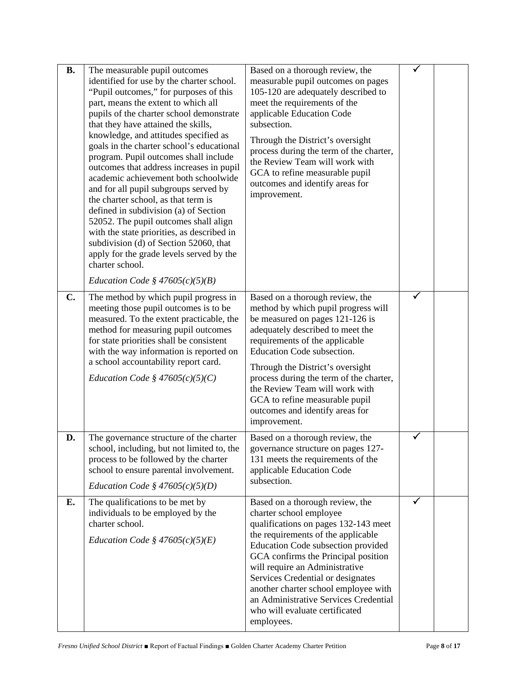| <b>B.</b> | The measurable pupil outcomes<br>identified for use by the charter school.<br>"Pupil outcomes," for purposes of this<br>part, means the extent to which all<br>pupils of the charter school demonstrate<br>that they have attained the skills,<br>knowledge, and attitudes specified as<br>goals in the charter school's educational<br>program. Pupil outcomes shall include<br>outcomes that address increases in pupil<br>academic achievement both schoolwide<br>and for all pupil subgroups served by<br>the charter school, as that term is<br>defined in subdivision (a) of Section<br>52052. The pupil outcomes shall align<br>with the state priorities, as described in<br>subdivision (d) of Section 52060, that<br>apply for the grade levels served by the<br>charter school.<br>Education Code § $47605(c)(5)(B)$ | Based on a thorough review, the<br>measurable pupil outcomes on pages<br>105-120 are adequately described to<br>meet the requirements of the<br>applicable Education Code<br>subsection.<br>Through the District's oversight<br>process during the term of the charter,<br>the Review Team will work with<br>GCA to refine measurable pupil<br>outcomes and identify areas for<br>improvement.                                |   |  |
|-----------|---------------------------------------------------------------------------------------------------------------------------------------------------------------------------------------------------------------------------------------------------------------------------------------------------------------------------------------------------------------------------------------------------------------------------------------------------------------------------------------------------------------------------------------------------------------------------------------------------------------------------------------------------------------------------------------------------------------------------------------------------------------------------------------------------------------------------------|-------------------------------------------------------------------------------------------------------------------------------------------------------------------------------------------------------------------------------------------------------------------------------------------------------------------------------------------------------------------------------------------------------------------------------|---|--|
| C.        | The method by which pupil progress in<br>meeting those pupil outcomes is to be<br>measured. To the extent practicable, the<br>method for measuring pupil outcomes<br>for state priorities shall be consistent<br>with the way information is reported on<br>a school accountability report card.<br>Education Code § $47605(c)(5)(C)$                                                                                                                                                                                                                                                                                                                                                                                                                                                                                           | Based on a thorough review, the<br>method by which pupil progress will<br>be measured on pages 121-126 is<br>adequately described to meet the<br>requirements of the applicable<br>Education Code subsection.<br>Through the District's oversight<br>process during the term of the charter,<br>the Review Team will work with<br>GCA to refine measurable pupil<br>outcomes and identify areas for<br>improvement.           |   |  |
| D.        | The governance structure of the charter<br>school, including, but not limited to, the<br>process to be followed by the charter<br>school to ensure parental involvement.<br>Education Code § $47605(c)(5)(D)$                                                                                                                                                                                                                                                                                                                                                                                                                                                                                                                                                                                                                   | Based on a thorough review, the<br>governance structure on pages 127-<br>131 meets the requirements of the<br>applicable Education Code<br>subsection.                                                                                                                                                                                                                                                                        |   |  |
| Е.        | The qualifications to be met by<br>individuals to be employed by the<br>charter school.<br>Education Code § $47605(c)(5)(E)$                                                                                                                                                                                                                                                                                                                                                                                                                                                                                                                                                                                                                                                                                                    | Based on a thorough review, the<br>charter school employee<br>qualifications on pages 132-143 meet<br>the requirements of the applicable<br>Education Code subsection provided<br>GCA confirms the Principal position<br>will require an Administrative<br>Services Credential or designates<br>another charter school employee with<br>an Administrative Services Credential<br>who will evaluate certificated<br>employees. | ✓ |  |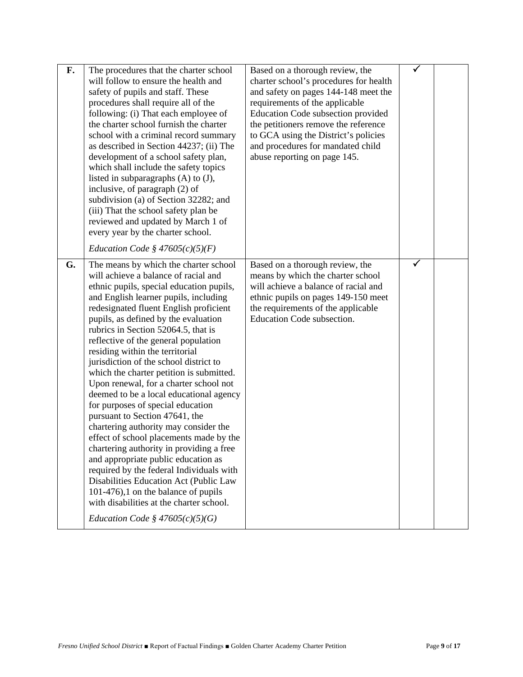| F. | The procedures that the charter school<br>will follow to ensure the health and<br>safety of pupils and staff. These<br>procedures shall require all of the<br>following: (i) That each employee of<br>the charter school furnish the charter<br>school with a criminal record summary<br>as described in Section 44237; (ii) The<br>development of a school safety plan,<br>which shall include the safety topics<br>listed in subparagraphs $(A)$ to $(J)$ ,<br>inclusive, of paragraph (2) of<br>subdivision (a) of Section 32282; and<br>(iii) That the school safety plan be<br>reviewed and updated by March 1 of<br>every year by the charter school.<br>Education Code § $47605(c)(5)(F)$                                                                                                                                                                                                                                                                                                              | Based on a thorough review, the<br>charter school's procedures for health<br>and safety on pages 144-148 meet the<br>requirements of the applicable<br>Education Code subsection provided<br>the petitioners remove the reference<br>to GCA using the District's policies<br>and procedures for mandated child<br>abuse reporting on page 145. | ✓ |  |
|----|---------------------------------------------------------------------------------------------------------------------------------------------------------------------------------------------------------------------------------------------------------------------------------------------------------------------------------------------------------------------------------------------------------------------------------------------------------------------------------------------------------------------------------------------------------------------------------------------------------------------------------------------------------------------------------------------------------------------------------------------------------------------------------------------------------------------------------------------------------------------------------------------------------------------------------------------------------------------------------------------------------------|------------------------------------------------------------------------------------------------------------------------------------------------------------------------------------------------------------------------------------------------------------------------------------------------------------------------------------------------|---|--|
| G. | The means by which the charter school<br>will achieve a balance of racial and<br>ethnic pupils, special education pupils,<br>and English learner pupils, including<br>redesignated fluent English proficient<br>pupils, as defined by the evaluation<br>rubrics in Section 52064.5, that is<br>reflective of the general population<br>residing within the territorial<br>jurisdiction of the school district to<br>which the charter petition is submitted.<br>Upon renewal, for a charter school not<br>deemed to be a local educational agency<br>for purposes of special education<br>pursuant to Section 47641, the<br>chartering authority may consider the<br>effect of school placements made by the<br>chartering authority in providing a free<br>and appropriate public education as<br>required by the federal Individuals with<br>Disabilities Education Act (Public Law<br>101-476),1 on the balance of pupils<br>with disabilities at the charter school.<br>Education Code § $47605(c)(5)(G)$ | Based on a thorough review, the<br>means by which the charter school<br>will achieve a balance of racial and<br>ethnic pupils on pages 149-150 meet<br>the requirements of the applicable<br>Education Code subsection.                                                                                                                        | ✓ |  |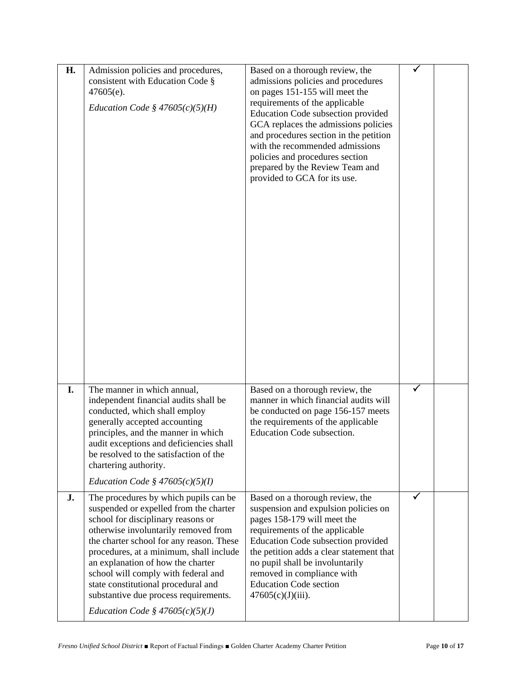| H. | Admission policies and procedures,<br>consistent with Education Code §<br>$47605(e)$ .<br>Education Code § $47605(c)(5)(H)$                                                                                                                                                                                                                                                                                                                           | Based on a thorough review, the<br>admissions policies and procedures<br>on pages 151-155 will meet the<br>requirements of the applicable<br>Education Code subsection provided<br>GCA replaces the admissions policies<br>and procedures section in the petition<br>with the recommended admissions<br>policies and procedures section<br>prepared by the Review Team and<br>provided to GCA for its use. |              |  |
|----|-------------------------------------------------------------------------------------------------------------------------------------------------------------------------------------------------------------------------------------------------------------------------------------------------------------------------------------------------------------------------------------------------------------------------------------------------------|------------------------------------------------------------------------------------------------------------------------------------------------------------------------------------------------------------------------------------------------------------------------------------------------------------------------------------------------------------------------------------------------------------|--------------|--|
| I. | The manner in which annual,<br>independent financial audits shall be<br>conducted, which shall employ<br>generally accepted accounting<br>principles, and the manner in which<br>audit exceptions and deficiencies shall<br>be resolved to the satisfaction of the<br>chartering authority.<br>Education Code § $47605(c)(5)(I)$                                                                                                                      | Based on a thorough review, the<br>manner in which financial audits will<br>be conducted on page 156-157 meets<br>the requirements of the applicable<br>Education Code subsection.                                                                                                                                                                                                                         | $\checkmark$ |  |
| J. | The procedures by which pupils can be<br>suspended or expelled from the charter<br>school for disciplinary reasons or<br>otherwise involuntarily removed from<br>the charter school for any reason. These<br>procedures, at a minimum, shall include<br>an explanation of how the charter<br>school will comply with federal and<br>state constitutional procedural and<br>substantive due process requirements.<br>Education Code § $47605(c)(5)(J)$ | Based on a thorough review, the<br>suspension and expulsion policies on<br>pages 158-179 will meet the<br>requirements of the applicable<br>Education Code subsection provided<br>the petition adds a clear statement that<br>no pupil shall be involuntarily<br>removed in compliance with<br><b>Education Code section</b><br>$47605(c)(J)(iii)$ .                                                       |              |  |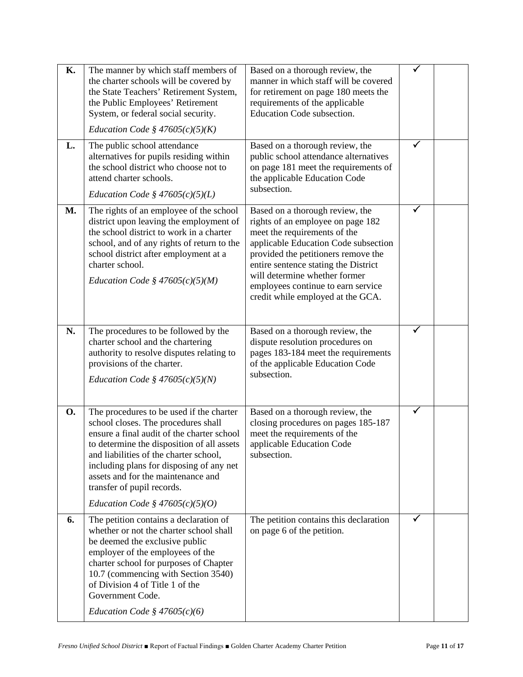| <b>K.</b> | The manner by which staff members of<br>the charter schools will be covered by<br>the State Teachers' Retirement System,<br>the Public Employees' Retirement<br>System, or federal social security.<br><i>Education Code</i> § $47605(c)(5)(K)$                                                                                                                            | Based on a thorough review, the<br>manner in which staff will be covered<br>for retirement on page 180 meets the<br>requirements of the applicable<br>Education Code subsection.                                                                                                                                                        |              |  |
|-----------|----------------------------------------------------------------------------------------------------------------------------------------------------------------------------------------------------------------------------------------------------------------------------------------------------------------------------------------------------------------------------|-----------------------------------------------------------------------------------------------------------------------------------------------------------------------------------------------------------------------------------------------------------------------------------------------------------------------------------------|--------------|--|
| L.        | The public school attendance<br>alternatives for pupils residing within<br>the school district who choose not to<br>attend charter schools.<br>Education Code § $47605(c)(5)(L)$                                                                                                                                                                                           | Based on a thorough review, the<br>public school attendance alternatives<br>on page 181 meet the requirements of<br>the applicable Education Code<br>subsection.                                                                                                                                                                        |              |  |
| M.        | The rights of an employee of the school<br>district upon leaving the employment of<br>the school district to work in a charter<br>school, and of any rights of return to the<br>school district after employment at a<br>charter school.<br>Education Code § $47605(c)(5)(M)$                                                                                              | Based on a thorough review, the<br>rights of an employee on page 182<br>meet the requirements of the<br>applicable Education Code subsection<br>provided the petitioners remove the<br>entire sentence stating the District<br>will determine whether former<br>employees continue to earn service<br>credit while employed at the GCA. | $\checkmark$ |  |
| N.        | The procedures to be followed by the<br>charter school and the chartering<br>authority to resolve disputes relating to<br>provisions of the charter.<br><i>Education Code</i> § $47605(c)(5)(N)$                                                                                                                                                                           | Based on a thorough review, the<br>dispute resolution procedures on<br>pages 183-184 meet the requirements<br>of the applicable Education Code<br>subsection.                                                                                                                                                                           |              |  |
| <b>O.</b> | The procedures to be used if the charter<br>school closes. The procedures shall<br>ensure a final audit of the charter school<br>to determine the disposition of all assets<br>and liabilities of the charter school,<br>including plans for disposing of any net<br>assets and for the maintenance and<br>transfer of pupil records.<br>Education Code § $47605(c)(5)(O)$ | Based on a thorough review, the<br>closing procedures on pages 185-187<br>meet the requirements of the<br>applicable Education Code<br>subsection.                                                                                                                                                                                      |              |  |
| 6.        | The petition contains a declaration of<br>whether or not the charter school shall<br>be deemed the exclusive public<br>employer of the employees of the<br>charter school for purposes of Chapter<br>10.7 (commencing with Section 3540)<br>of Division 4 of Title 1 of the<br>Government Code.<br>Education Code § $47605(c)(6)$                                          | The petition contains this declaration<br>on page 6 of the petition.                                                                                                                                                                                                                                                                    |              |  |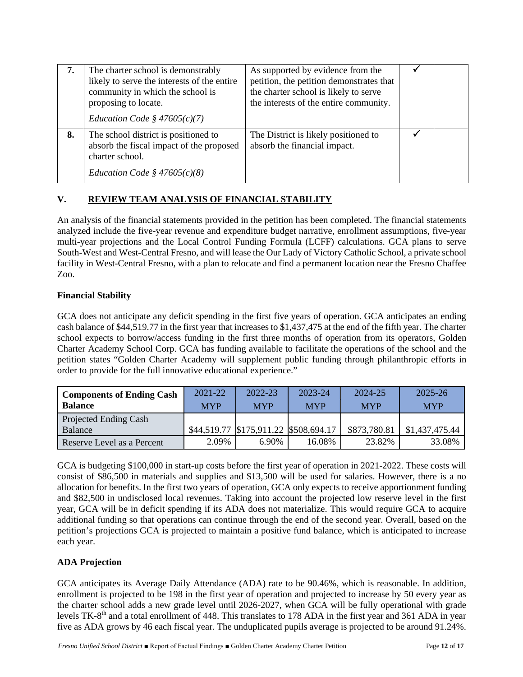| 7. | The charter school is demonstrably<br>likely to serve the interests of the entire<br>community in which the school is<br>proposing to locate.<br>Education Code § $47605(c)(7)$ | As supported by evidence from the<br>petition, the petition demonstrates that<br>the charter school is likely to serve<br>the interests of the entire community. |  |
|----|---------------------------------------------------------------------------------------------------------------------------------------------------------------------------------|------------------------------------------------------------------------------------------------------------------------------------------------------------------|--|
| 8. | The school district is positioned to<br>absorb the fiscal impact of the proposed<br>charter school.<br>Education Code § $47605(c)(8)$                                           | The District is likely positioned to<br>absorb the financial impact.                                                                                             |  |

# **V. REVIEW TEAM ANALYSIS OF FINANCIAL STABILITY**

An analysis of the financial statements provided in the petition has been completed. The financial statements analyzed include the five-year revenue and expenditure budget narrative, enrollment assumptions, five-year multi-year projections and the Local Control Funding Formula (LCFF) calculations. GCA plans to serve South-West and West-Central Fresno, and will lease the Our Lady of Victory Catholic School, a private school facility in West-Central Fresno, with a plan to relocate and find a permanent location near the Fresno Chaffee Zoo.

## **Financial Stability**

GCA does not anticipate any deficit spending in the first five years of operation. GCA anticipates an ending cash balance of \$44,519.77 in the first year that increases to \$1,437,475 at the end of the fifth year. The charter school expects to borrow/access funding in the first three months of operation from its operators, Golden Charter Academy School Corp. GCA has funding available to facilitate the operations of the school and the petition states "Golden Charter Academy will supplement public funding through philanthropic efforts in order to provide for the full innovative educational experience."

| <b>Components of Ending Cash</b><br><b>Balance</b> | $2021 - 22$<br><b>MYP</b> | 2022-23<br><b>MYP</b>                 | 2023-24<br><b>MYP</b> | 2024-25<br><b>MYP</b> | 2025-26<br><b>MYP</b> |
|----------------------------------------------------|---------------------------|---------------------------------------|-----------------------|-----------------------|-----------------------|
| Projected Ending Cash<br>Balance                   |                           | \$44,519.77 \$175,911.22 \$508,694.17 |                       | \$873,780.81          | \$1,437,475.44        |
| Reserve Level as a Percent                         | 2.09%                     | 6.90%                                 | 16.08%                | 23.82%                | 33.08%                |

GCA is budgeting \$100,000 in start-up costs before the first year of operation in 2021-2022. These costs will consist of \$86,500 in materials and supplies and \$13,500 will be used for salaries. However, there is a no allocation for benefits. In the first two years of operation, GCA only expects to receive apportionment funding and \$82,500 in undisclosed local revenues. Taking into account the projected low reserve level in the first year, GCA will be in deficit spending if its ADA does not materialize. This would require GCA to acquire additional funding so that operations can continue through the end of the second year. Overall, based on the petition's projections GCA is projected to maintain a positive fund balance, which is anticipated to increase each year.

# **ADA Projection**

GCA anticipates its Average Daily Attendance (ADA) rate to be 90.46%, which is reasonable. In addition, enrollment is projected to be 198 in the first year of operation and projected to increase by 50 every year as the charter school adds a new grade level until 2026-2027, when GCA will be fully operational with grade levels TK-8th and a total enrollment of 448. This translates to 178 ADA in the first year and 361 ADA in year five as ADA grows by 46 each fiscal year. The unduplicated pupils average is projected to be around 91.24%.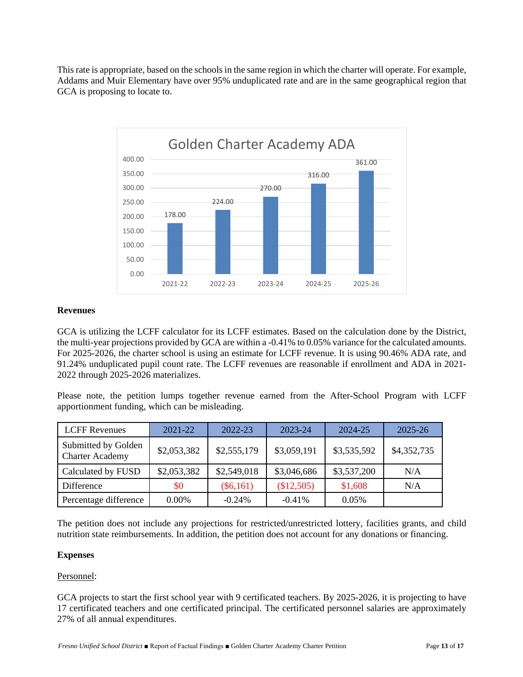This rate is appropriate, based on the schools in the same region in which the charter will operate. For example, Addams and Muir Elementary have over 95% unduplicated rate and are in the same geographical region that GCA is proposing to locate to.



### **Revenues**

GCA is utilizing the LCFF calculator for its LCFF estimates. Based on the calculation done by the District, the multi-year projections provided by GCA are within a -0.41% to 0.05% variance for the calculated amounts. For 2025-2026, the charter school is using an estimate for LCFF revenue. It is using 90.46% ADA rate, and 91.24% unduplicated pupil count rate. The LCFF revenues are reasonable if enrollment and ADA in 2021- 2022 through 2025-2026 materializes.

Please note, the petition lumps together revenue earned from the After-School Program with LCFF apportionment funding, which can be misleading.

| <b>LCFF</b> Revenues                          | 2021-22     | 2022-23     | 2023-24     | 2024-25     | $2025 - 26$ |
|-----------------------------------------------|-------------|-------------|-------------|-------------|-------------|
| Submitted by Golden<br><b>Charter Academy</b> | \$2,053,382 | \$2,555,179 | \$3,059,191 | \$3,535,592 | \$4,352,735 |
| Calculated by FUSD                            | \$2,053,382 | \$2,549,018 | \$3,046,686 | \$3,537,200 | N/A         |
| Difference                                    | \$0         | $(\$6,161)$ | (\$12,505)  | \$1,608     | N/A         |
| Percentage difference                         | $0.00\%$    | $-0.24\%$   | $-0.41%$    | 0.05%       |             |

The petition does not include any projections for restricted/unrestricted lottery, facilities grants, and child nutrition state reimbursements. In addition, the petition does not account for any donations or financing.

#### **Expenses**

#### Personnel:

GCA projects to start the first school year with 9 certificated teachers. By 2025-2026, it is projecting to have 17 certificated teachers and one certificated principal. The certificated personnel salaries are approximately 27% of all annual expenditures.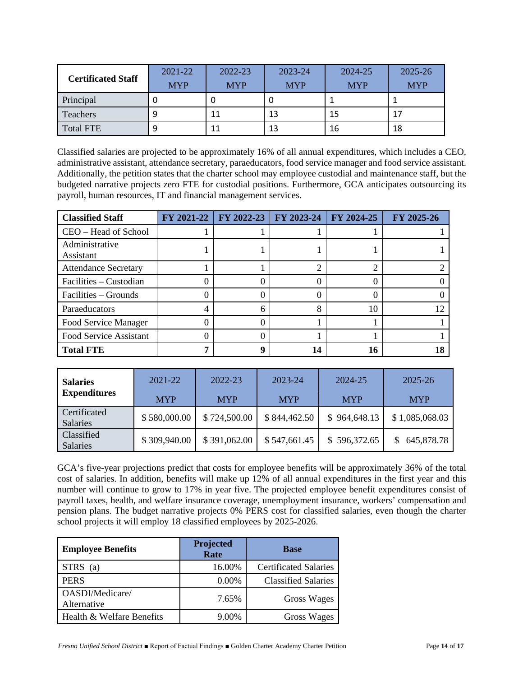|                           | 2021-22    | 2022-23    | 2023-24    | 2024-25    | 2025-26    |
|---------------------------|------------|------------|------------|------------|------------|
| <b>Certificated Staff</b> | <b>MYP</b> | <b>MYP</b> | <b>MYP</b> | <b>MYP</b> | <b>MYP</b> |
| Principal                 |            | υ          |            |            |            |
| <b>Teachers</b>           |            | 11         | 13         | 15         | 17         |
| <b>Total FTE</b>          |            | 11         | 13         | 16         | 18         |

Classified salaries are projected to be approximately 16% of all annual expenditures, which includes a CEO, administrative assistant, attendance secretary, paraeducators, food service manager and food service assistant. Additionally, the petition states that the charter school may employee custodial and maintenance staff, but the budgeted narrative projects zero FTE for custodial positions. Furthermore, GCA anticipates outsourcing its payroll, human resources, IT and financial management services.

| <b>Classified Staff</b>     | FY 2021-22 | FY 2022-23 | FY 2023-24 | FY 2024-25 | FY 2025-26 |
|-----------------------------|------------|------------|------------|------------|------------|
| CEO - Head of School        |            |            |            |            |            |
| Administrative<br>Assistant |            |            |            |            |            |
| <b>Attendance Secretary</b> |            |            |            |            |            |
| Facilities – Custodian      | 0          |            |            |            |            |
| Facilities – Grounds        | U          |            |            |            |            |
| Paraeducators               | 4          | 6          | 8          | 10         |            |
| Food Service Manager        | 0          |            |            |            |            |
| Food Service Assistant      | 0          |            |            |            |            |
| <b>Total FTE</b>            |            |            | 14         | 16         |            |

| <b>Salaries</b><br><b>Expenditures</b> | 2021-22<br><b>MYP</b> | 2022-23<br><b>MYP</b> | 2023-24<br><b>MYP</b> | 2024-25<br><b>MYP</b> | 2025-26<br><b>MYP</b> |
|----------------------------------------|-----------------------|-----------------------|-----------------------|-----------------------|-----------------------|
| Certificated<br><b>Salaries</b>        | \$580,000.00          | \$724,500.00          | \$844,462.50          | \$964,648.13          | \$1,085,068.03        |
| Classified<br><b>Salaries</b>          | \$309,940.00          | \$391,062.00          | \$547,661.45          | \$596,372.65          | 645,878.78            |

GCA's five-year projections predict that costs for employee benefits will be approximately 36% of the total cost of salaries. In addition, benefits will make up 12% of all annual expenditures in the first year and this number will continue to grow to 17% in year five. The projected employee benefit expenditures consist of payroll taxes, health, and welfare insurance coverage, unemployment insurance, workers' compensation and pension plans. The budget narrative projects 0% PERS cost for classified salaries, even though the charter school projects it will employ 18 classified employees by 2025-2026.

| <b>Employee Benefits</b>       | Projected<br>Rate | <b>Base</b>                  |
|--------------------------------|-------------------|------------------------------|
| STRS (a)                       | 16.00%            | <b>Certificated Salaries</b> |
| <b>PERS</b>                    | 0.00%             | <b>Classified Salaries</b>   |
| OASDI/Medicare/<br>Alternative | 7.65%             | Gross Wages                  |
| Health & Welfare Benefits      | 9.00%             | Gross Wages                  |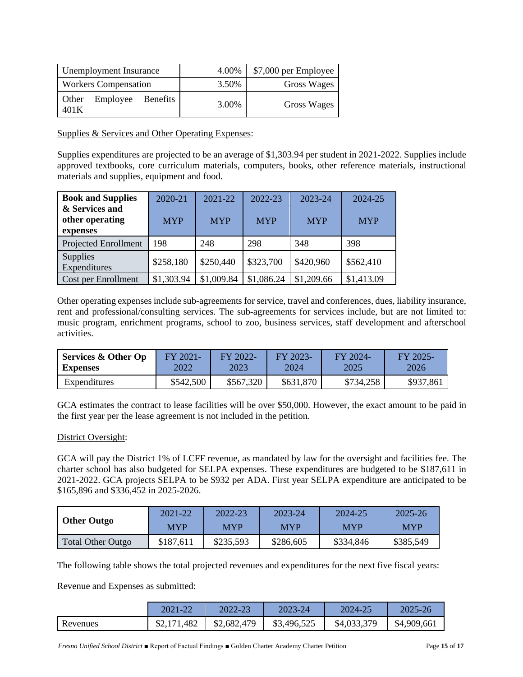| Unemployment Insurance              | 4.00% | \$7,000 per Employee |
|-------------------------------------|-------|----------------------|
| <b>Workers Compensation</b>         | 3.50% | Gross Wages          |
| Employee Benefits<br>Other<br>401 K | 3.00% | Gross Wages          |

Supplies & Services and Other Operating Expenses:

Supplies expenditures are projected to be an average of \$1,303.94 per student in 2021-2022. Supplies include approved textbooks, core curriculum materials, computers, books, other reference materials, instructional materials and supplies, equipment and food.

| <b>Book and Supplies</b>                      | 2020-21    | 2021-22    | 2022-23    | 2023-24    | 2024-25    |
|-----------------------------------------------|------------|------------|------------|------------|------------|
| & Services and<br>other operating<br>expenses | <b>MYP</b> | <b>MYP</b> | <b>MYP</b> | <b>MYP</b> | <b>MYP</b> |
| Projected Enrollment                          | 198        | 248        | 298        | 348        | 398        |
| <b>Supplies</b><br>Expenditures               | \$258,180  | \$250,440  | \$323,700  | \$420,960  | \$562,410  |
| Cost per Enrollment                           | \$1,303.94 | \$1,009.84 | \$1,086.24 | \$1,209.66 | \$1,413.09 |

Other operating expenses include sub-agreements for service, travel and conferences, dues, liability insurance, rent and professional/consulting services. The sub-agreements for services include, but are not limited to: music program, enrichment programs, school to zoo, business services, staff development and afterschool activities.

| <b>Services &amp; Other Op</b> | FY 2021-  | $-$ FY 2022- | FY 2023-  | $FY 2024-$ | $FY 2025-$ |
|--------------------------------|-----------|--------------|-----------|------------|------------|
| <b>Expenses</b>                | 2022      | 2023         | 2024      | 2025       | 2026       |
| Expenditures                   | \$542,500 | \$567,320    | \$631,870 | \$734,258  | \$937,861  |

GCA estimates the contract to lease facilities will be over \$50,000. However, the exact amount to be paid in the first year per the lease agreement is not included in the petition.

### District Oversight:

GCA will pay the District 1% of LCFF revenue, as mandated by law for the oversight and facilities fee. The charter school has also budgeted for SELPA expenses. These expenditures are budgeted to be \$187,611 in 2021-2022. GCA projects SELPA to be \$932 per ADA. First year SELPA expenditure are anticipated to be \$165,896 and \$336,452 in 2025-2026.

| <b>Other Outgo</b>       | 2021-22    | 2022-23    | 2023-24    | 2024-25    | $2025 - 26$ |
|--------------------------|------------|------------|------------|------------|-------------|
|                          | <b>MYP</b> | <b>MYP</b> | <b>MYP</b> | <b>MYP</b> | <b>MYP</b>  |
| <b>Total Other Outgo</b> | \$187,611  | \$235,593  | \$286,605  | \$334,846  | \$385,549   |

The following table shows the total projected revenues and expenditures for the next five fiscal years:

Revenue and Expenses as submitted:

|          | 2021-22     | 2022-23     | 2023-24     | 2024-25     | 2025-26     |
|----------|-------------|-------------|-------------|-------------|-------------|
| Revenues | \$2,171,482 | \$2,682,479 | \$3,496,525 | \$4,033,379 | \$4,909,661 |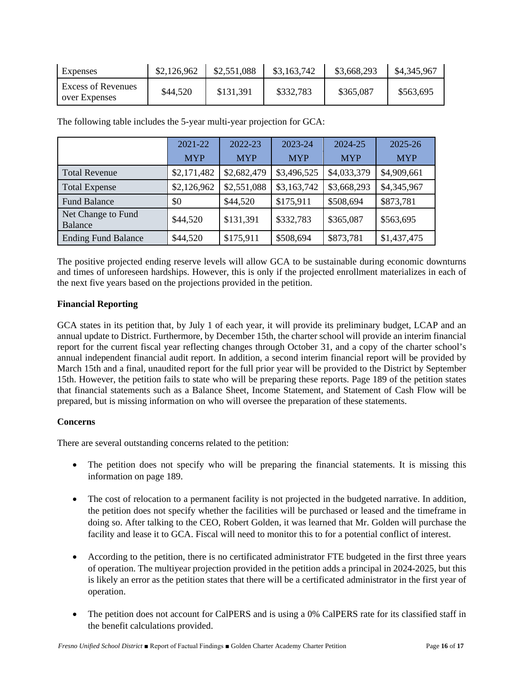| Expenses                                   | \$2,126,962 | \$2,551,088 | \$3,163,742 | \$3,668,293 | \$4,345,967 |
|--------------------------------------------|-------------|-------------|-------------|-------------|-------------|
| <b>Excess of Revenues</b><br>over Expenses | \$44,520    | \$131,391   | \$332,783   | \$365,087   | \$563,695   |

The following table includes the 5-year multi-year projection for GCA:

|                                      | 2021-22     | 2022-23     | 2023-24     | 2024-25     | 2025-26     |
|--------------------------------------|-------------|-------------|-------------|-------------|-------------|
|                                      | <b>MYP</b>  | <b>MYP</b>  | <b>MYP</b>  | <b>MYP</b>  | <b>MYP</b>  |
| <b>Total Revenue</b>                 | \$2,171,482 | \$2,682,479 | \$3,496,525 | \$4,033,379 | \$4,909,661 |
| <b>Total Expense</b>                 | \$2,126,962 | \$2,551,088 | \$3,163,742 | \$3,668,293 | \$4,345,967 |
| <b>Fund Balance</b>                  | \$0         | \$44,520    | \$175,911   | \$508,694   | \$873,781   |
| Net Change to Fund<br><b>Balance</b> | \$44,520    | \$131,391   | \$332,783   | \$365,087   | \$563,695   |
| <b>Ending Fund Balance</b>           | \$44,520    | \$175,911   | \$508,694   | \$873,781   | \$1,437,475 |

The positive projected ending reserve levels will allow GCA to be sustainable during economic downturns and times of unforeseen hardships. However, this is only if the projected enrollment materializes in each of the next five years based on the projections provided in the petition.

## **Financial Reporting**

GCA states in its petition that, by July 1 of each year, it will provide its preliminary budget, LCAP and an annual update to District. Furthermore, by December 15th, the charter school will provide an interim financial report for the current fiscal year reflecting changes through October 31, and a copy of the charter school's annual independent financial audit report. In addition, a second interim financial report will be provided by March 15th and a final, unaudited report for the full prior year will be provided to the District by September 15th. However, the petition fails to state who will be preparing these reports. Page 189 of the petition states that financial statements such as a Balance Sheet, Income Statement, and Statement of Cash Flow will be prepared, but is missing information on who will oversee the preparation of these statements.

# **Concerns**

There are several outstanding concerns related to the petition:

- The petition does not specify who will be preparing the financial statements. It is missing this information on page 189.
- The cost of relocation to a permanent facility is not projected in the budgeted narrative. In addition, the petition does not specify whether the facilities will be purchased or leased and the timeframe in doing so. After talking to the CEO, Robert Golden, it was learned that Mr. Golden will purchase the facility and lease it to GCA. Fiscal will need to monitor this to for a potential conflict of interest.
- According to the petition, there is no certificated administrator FTE budgeted in the first three years of operation. The multiyear projection provided in the petition adds a principal in 2024-2025, but this is likely an error as the petition states that there will be a certificated administrator in the first year of operation.
- The petition does not account for CalPERS and is using a 0% CalPERS rate for its classified staff in the benefit calculations provided.